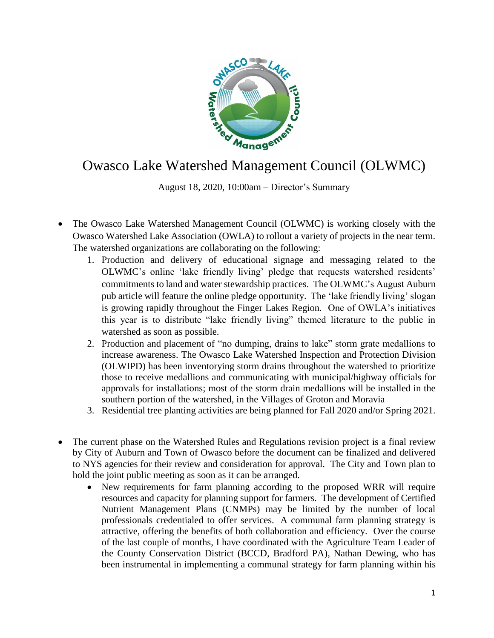

## Owasco Lake Watershed Management Council (OLWMC)

August 18, 2020, 10:00am – Director's Summary

- The Owasco Lake Watershed Management Council (OLWMC) is working closely with the Owasco Watershed Lake Association (OWLA) to rollout a variety of projects in the near term. The watershed organizations are collaborating on the following:
	- 1. Production and delivery of educational signage and messaging related to the OLWMC's online 'lake friendly living' pledge that requests watershed residents' commitments to land and water stewardship practices. The OLWMC's August Auburn pub article will feature the online pledge opportunity. The 'lake friendly living' slogan is growing rapidly throughout the Finger Lakes Region. One of OWLA's initiatives this year is to distribute "lake friendly living" themed literature to the public in watershed as soon as possible.
	- 2. Production and placement of "no dumping, drains to lake" storm grate medallions to increase awareness. The Owasco Lake Watershed Inspection and Protection Division (OLWIPD) has been inventorying storm drains throughout the watershed to prioritize those to receive medallions and communicating with municipal/highway officials for approvals for installations; most of the storm drain medallions will be installed in the southern portion of the watershed, in the Villages of Groton and Moravia
	- 3. Residential tree planting activities are being planned for Fall 2020 and/or Spring 2021.
- The current phase on the Watershed Rules and Regulations revision project is a final review by City of Auburn and Town of Owasco before the document can be finalized and delivered to NYS agencies for their review and consideration for approval. The City and Town plan to hold the joint public meeting as soon as it can be arranged.
	- New requirements for farm planning according to the proposed WRR will require resources and capacity for planning support for farmers. The development of Certified Nutrient Management Plans (CNMPs) may be limited by the number of local professionals credentialed to offer services. A communal farm planning strategy is attractive, offering the benefits of both collaboration and efficiency. Over the course of the last couple of months, I have coordinated with the Agriculture Team Leader of the County Conservation District (BCCD, Bradford PA), Nathan Dewing, who has been instrumental in implementing a communal strategy for farm planning within his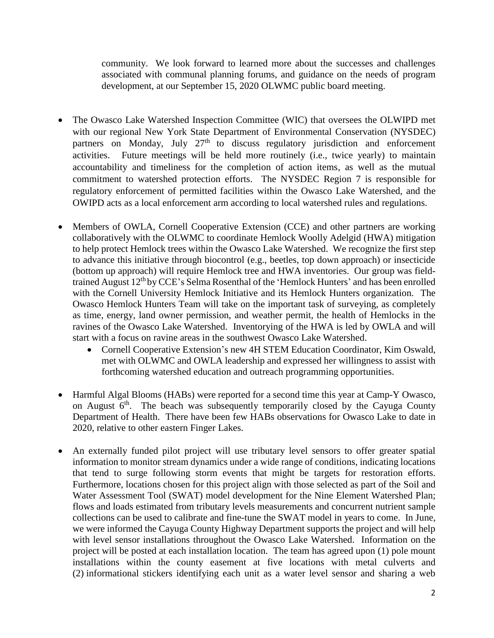community. We look forward to learned more about the successes and challenges associated with communal planning forums, and guidance on the needs of program development, at our September 15, 2020 OLWMC public board meeting.

- The Owasco Lake Watershed Inspection Committee (WIC) that oversees the OLWIPD met with our regional New York State Department of Environmental Conservation (NYSDEC) partners on Monday, July 27<sup>th</sup> to discuss regulatory jurisdiction and enforcement activities. Future meetings will be held more routinely (i.e., twice yearly) to maintain accountability and timeliness for the completion of action items, as well as the mutual commitment to watershed protection efforts. The NYSDEC Region 7 is responsible for regulatory enforcement of permitted facilities within the Owasco Lake Watershed, and the OWIPD acts as a local enforcement arm according to local watershed rules and regulations.
- Members of OWLA, Cornell Cooperative Extension (CCE) and other partners are working collaboratively with the OLWMC to coordinate Hemlock Woolly Adelgid (HWA) mitigation to help protect Hemlock trees within the Owasco Lake Watershed. We recognize the first step to advance this initiative through biocontrol (e.g., beetles, top down approach) or insecticide (bottom up approach) will require Hemlock tree and HWA inventories. Our group was fieldtrained August  $12<sup>th</sup>$  by CCE's Selma Rosenthal of the 'Hemlock Hunters' and has been enrolled with the Cornell University Hemlock Initiative and its Hemlock Hunters organization. The Owasco Hemlock Hunters Team will take on the important task of surveying, as completely as time, energy, land owner permission, and weather permit, the health of Hemlocks in the ravines of the Owasco Lake Watershed. Inventorying of the HWA is led by OWLA and will start with a focus on ravine areas in the southwest Owasco Lake Watershed.
	- Cornell Cooperative Extension's new 4H STEM Education Coordinator, Kim Oswald, met with OLWMC and OWLA leadership and expressed her willingness to assist with forthcoming watershed education and outreach programming opportunities.
- Harmful Algal Blooms (HABs) were reported for a second time this year at Camp-Y Owasco, on August  $6<sup>th</sup>$ . The beach was subsequently temporarily closed by the Cayuga County Department of Health. There have been few HABs observations for Owasco Lake to date in 2020, relative to other eastern Finger Lakes.
- An externally funded pilot project will use tributary level sensors to offer greater spatial information to monitor stream dynamics under a wide range of conditions, indicating locations that tend to surge following storm events that might be targets for restoration efforts. Furthermore, locations chosen for this project align with those selected as part of the Soil and Water Assessment Tool (SWAT) model development for the Nine Element Watershed Plan; flows and loads estimated from tributary levels measurements and concurrent nutrient sample collections can be used to calibrate and fine-tune the SWAT model in years to come. In June, we were informed the Cayuga County Highway Department supports the project and will help with level sensor installations throughout the Owasco Lake Watershed. Information on the project will be posted at each installation location. The team has agreed upon (1) pole mount installations within the county easement at five locations with metal culverts and (2) informational stickers identifying each unit as a water level sensor and sharing a web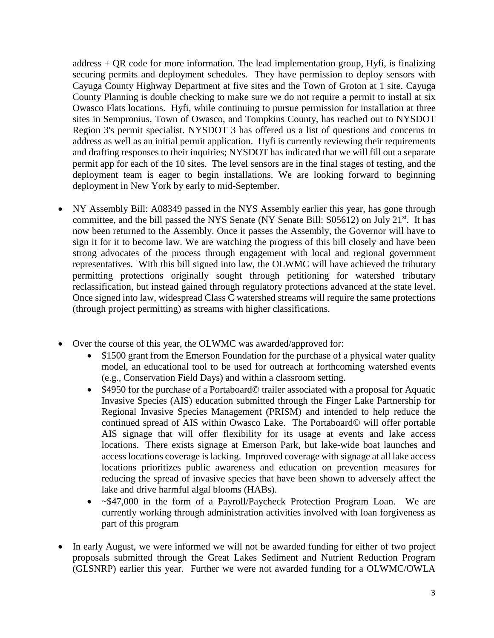address + QR code for more information. The lead implementation group, Hyfi, is finalizing securing permits and deployment schedules. They have permission to deploy sensors with Cayuga County Highway Department at five sites and the Town of Groton at 1 site. Cayuga County Planning is double checking to make sure we do not require a permit to install at six Owasco Flats locations. Hyfi, while continuing to pursue permission for installation at three sites in Sempronius, Town of Owasco, and Tompkins County, has reached out to NYSDOT Region 3's permit specialist. NYSDOT 3 has offered us a list of questions and concerns to address as well as an initial permit application. Hyfi is currently reviewing their requirements and drafting responses to their inquiries; NYSDOT has indicated that we will fill out a separate permit app for each of the 10 sites. The level sensors are in the final stages of testing, and the deployment team is eager to begin installations. We are looking forward to beginning deployment in New York by early to mid-September.

- NY Assembly Bill: A08349 passed in the NYS Assembly earlier this year, has gone through committee, and the bill passed the NYS Senate (NY Senate Bill: S05612) on July 21<sup>st</sup>. It has now been returned to the Assembly. Once it passes the Assembly, the Governor will have to sign it for it to become law. We are watching the progress of this bill closely and have been strong advocates of the process through engagement with local and regional government representatives. With this bill signed into law, the OLWMC will have achieved the tributary permitting protections originally sought through petitioning for watershed tributary reclassification, but instead gained through regulatory protections advanced at the state level. Once signed into law, widespread Class C watershed streams will require the same protections (through project permitting) as streams with higher classifications.
- Over the course of this year, the OLWMC was awarded/approved for:
	- \$1500 grant from the Emerson Foundation for the purchase of a physical water quality model, an educational tool to be used for outreach at forthcoming watershed events (e.g., Conservation Field Days) and within a classroom setting.
	- \$4950 for the purchase of a Portaboard© trailer associated with a proposal for Aquatic Invasive Species (AIS) education submitted through the Finger Lake Partnership for Regional Invasive Species Management (PRISM) and intended to help reduce the continued spread of AIS within Owasco Lake. The Portaboard© will offer portable AIS signage that will offer flexibility for its usage at events and lake access locations. There exists signage at Emerson Park, but lake-wide boat launches and access locations coverage is lacking. Improved coverage with signage at all lake access locations prioritizes public awareness and education on prevention measures for reducing the spread of invasive species that have been shown to adversely affect the lake and drive harmful algal blooms (HABs).
	- ~\$47,000 in the form of a Payroll/Paycheck Protection Program Loan. We are currently working through administration activities involved with loan forgiveness as part of this program
- In early August, we were informed we will not be awarded funding for either of two project proposals submitted through the Great Lakes Sediment and Nutrient Reduction Program (GLSNRP) earlier this year. Further we were not awarded funding for a OLWMC/OWLA